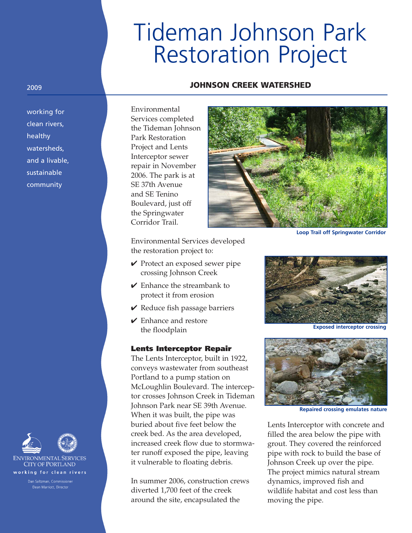# Tideman Johnson Park Restoration Project

#### **JOHNSON CREEK WATERSHED**

working for clean rivers, healthy watersheds, and a livable, sustainable community

2009

Environmental Services completed the Tideman Johnson Park Restoration Project and Lents Interceptor sewer repair in November 2006. The park is at SE 37th Avenue and SE Tenino Boulevard, just off the Springwater Corridor Trail.



**Loop Trail off Springwater Corridor**

Environmental Services developed the restoration project to:

- **✔** Protect an exposed sewer pipe crossing Johnson Creek
- **✔** Enhance the streambank to protect it from erosion
- **✔** Reduce fish passage barriers
- **✔** Enhance and restore the floodplain

## **Lents Interceptor Repair**

The Lents Interceptor, built in 1922, conveys wastewater from southeast Portland to a pump station on McLoughlin Boulevard. The interceptor crosses Johnson Creek in Tideman Johnson Park near SE 39th Avenue. When it was built, the pipe was buried about five feet below the creek bed. As the area developed, increased creek flow due to stormwater runoff exposed the pipe, leaving it vulnerable to floating debris.

In summer 2006, construction crews diverted 1,700 feet of the creek around the site, encapsulated the



**Exposed interceptor crossing**



**Repaired crossing emulates nature**

Lents Interceptor with concrete and filled the area below the pipe with grout. They covered the reinforced pipe with rock to build the base of Johnson Creek up over the pipe. The project mimics natural stream dynamics, improved fish and wildlife habitat and cost less than moving the pipe.



**CITY OF PORTLAND** working for clean rivers

Dean Marriott, Director